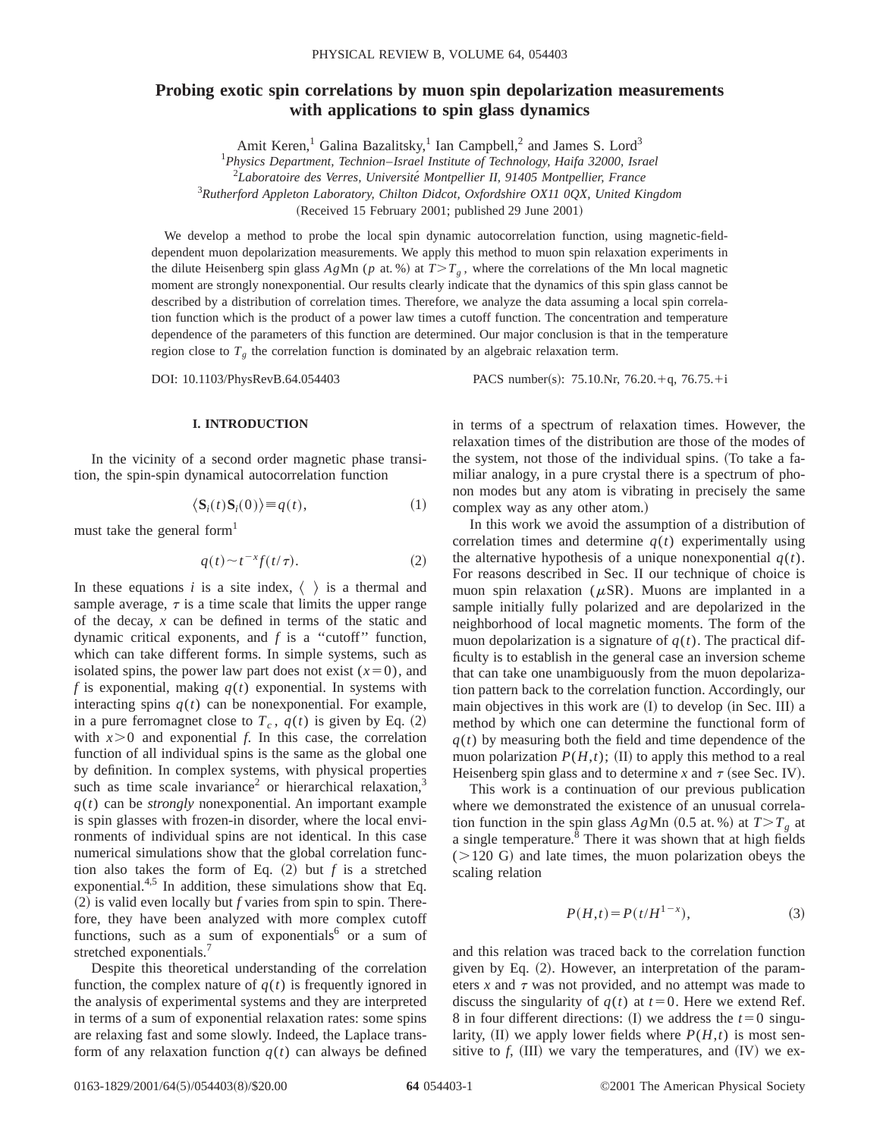# **Probing exotic spin correlations by muon spin depolarization measurements with applications to spin glass dynamics**

Amit Keren,<sup>1</sup> Galina Bazalitsky,<sup>1</sup> Ian Campbell,<sup>2</sup> and James S. Lord<sup>3</sup>

1 *Physics Department, Technion*–*Israel Institute of Technology, Haifa 32000, Israel*

2 *Laboratoire des Verres, Universite´ Montpellier II, 91405 Montpellier, France*

3 *Rutherford Appleton Laboratory, Chilton Didcot, Oxfordshire OX11 0QX, United Kingdom*

(Received 15 February 2001; published 29 June 2001)

We develop a method to probe the local spin dynamic autocorrelation function, using magnetic-fielddependent muon depolarization measurements. We apply this method to muon spin relaxation experiments in the dilute Heisenberg spin glass  $A g Mn$  (*p* at. %) at  $T>T<sub>g</sub>$ , where the correlations of the Mn local magnetic moment are strongly nonexponential. Our results clearly indicate that the dynamics of this spin glass cannot be described by a distribution of correlation times. Therefore, we analyze the data assuming a local spin correlation function which is the product of a power law times a cutoff function. The concentration and temperature dependence of the parameters of this function are determined. Our major conclusion is that in the temperature region close to  $T<sub>g</sub>$ , the correlation function is dominated by an algebraic relaxation term.

DOI: 10.1103/PhysRevB.64.054403 PACS number(s): 75.10.Nr, 76.20.+q, 76.75.+i

### **I. INTRODUCTION**

In the vicinity of a second order magnetic phase transition, the spin-spin dynamical autocorrelation function

$$
\langle \mathbf{S}_i(t)\mathbf{S}_i(0)\rangle \equiv q(t),\tag{1}
$$

must take the general form<sup>1</sup>

$$
q(t) \sim t^{-x} f(t/\tau). \tag{2}
$$

In these equations  $i$  is a site index,  $\langle \rangle$  is a thermal and sample average,  $\tau$  is a time scale that limits the upper range of the decay, *x* can be defined in terms of the static and dynamic critical exponents, and *f* is a ''cutoff'' function, which can take different forms. In simple systems, such as isolated spins, the power law part does not exist  $(x=0)$ , and  $f$  is exponential, making  $q(t)$  exponential. In systems with interacting spins  $q(t)$  can be nonexponential. For example, in a pure ferromagnet close to  $T_c$ ,  $q(t)$  is given by Eq. (2) with  $x>0$  and exponential  $f$ . In this case, the correlation function of all individual spins is the same as the global one by definition. In complex systems, with physical properties such as time scale invariance<sup>2</sup> or hierarchical relaxation, $3$  $q(t)$  can be *strongly* nonexponential. An important example is spin glasses with frozen-in disorder, where the local environments of individual spins are not identical. In this case numerical simulations show that the global correlation function also takes the form of Eq.  $(2)$  but *f* is a stretched exponential. $4,5$  In addition, these simulations show that Eq.  $(2)$  is valid even locally but *f* varies from spin to spin. Therefore, they have been analyzed with more complex cutoff functions, such as a sum of exponentials<sup>6</sup> or a sum of stretched exponentials.<sup>7</sup>

Despite this theoretical understanding of the correlation function, the complex nature of  $q(t)$  is frequently ignored in the analysis of experimental systems and they are interpreted in terms of a sum of exponential relaxation rates: some spins are relaxing fast and some slowly. Indeed, the Laplace transform of any relaxation function  $q(t)$  can always be defined

in terms of a spectrum of relaxation times. However, the relaxation times of the distribution are those of the modes of the system, not those of the individual spins. (To take a familiar analogy, in a pure crystal there is a spectrum of phonon modes but any atom is vibrating in precisely the same complex way as any other atom.)

In this work we avoid the assumption of a distribution of correlation times and determine  $q(t)$  experimentally using the alternative hypothesis of a unique nonexponential  $q(t)$ . For reasons described in Sec. II our technique of choice is muon spin relaxation ( $\mu$ SR). Muons are implanted in a sample initially fully polarized and are depolarized in the neighborhood of local magnetic moments. The form of the muon depolarization is a signature of  $q(t)$ . The practical difficulty is to establish in the general case an inversion scheme that can take one unambiguously from the muon depolarization pattern back to the correlation function. Accordingly, our main objectives in this work are  $(1)$  to develop  $(in \text{ Sec. III})$  a method by which one can determine the functional form of  $q(t)$  by measuring both the field and time dependence of the muon polarization  $P(H,t)$ ; (II) to apply this method to a real Heisenberg spin glass and to determine *x* and  $\tau$  (see Sec. IV).

This work is a continuation of our previous publication where we demonstrated the existence of an unusual correlation function in the spin glass  $AgMn$  (0.5 at. %) at  $T>T<sub>g</sub>$  at a single temperature.<sup>8</sup> There it was shown that at high fields  $(>120 \text{ G})$  and late times, the muon polarization obeys the scaling relation

$$
P(H,t) = P(t/H^{1-x}),\tag{3}
$$

and this relation was traced back to the correlation function given by Eq.  $(2)$ . However, an interpretation of the parameters  $x$  and  $\tau$  was not provided, and no attempt was made to discuss the singularity of  $q(t)$  at  $t=0$ . Here we extend Ref. 8 in four different directions: (I) we address the  $t=0$  singularity,  $(II)$  we apply lower fields where  $P(H,t)$  is most sensitive to  $f$ ,  $(III)$  we vary the temperatures, and  $(IV)$  we ex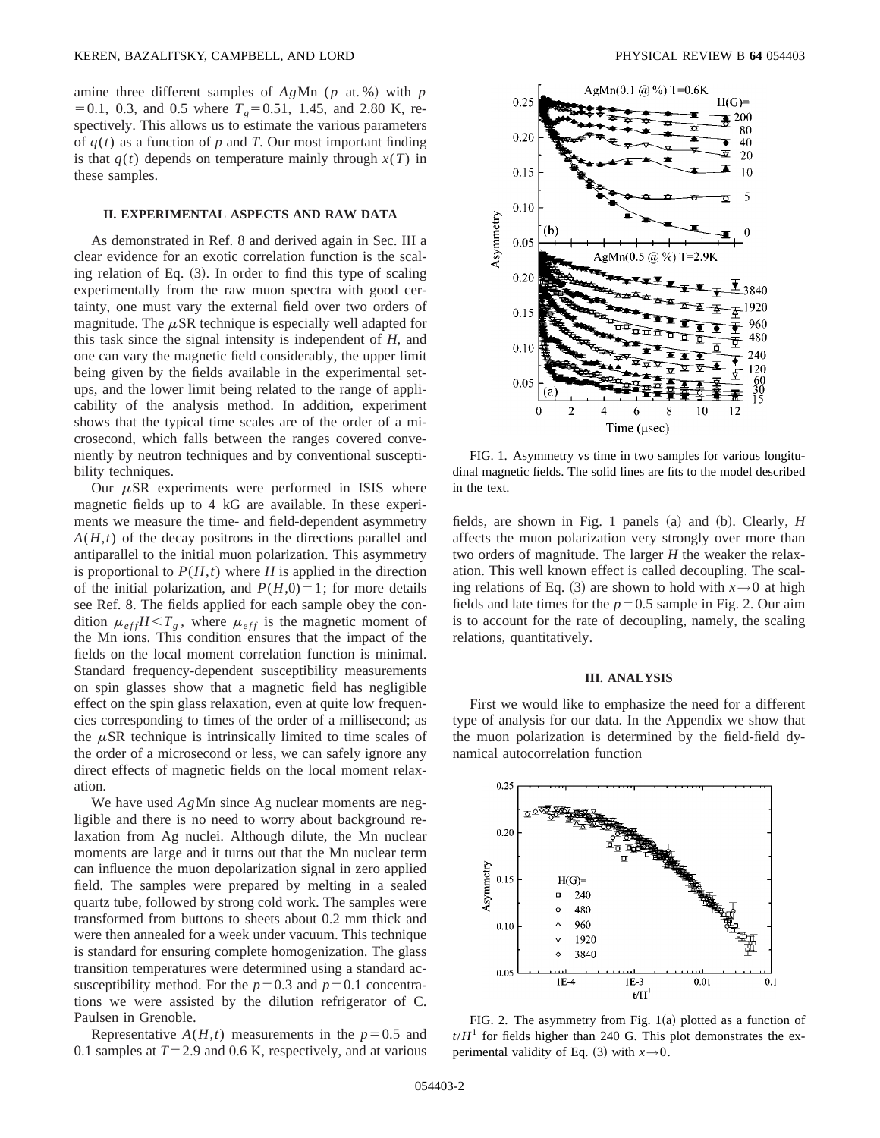amine three different samples of  $AgMn$  ( $p$  at. %) with  $p$  $=0.1$ , 0.3, and 0.5 where  $T<sub>g</sub>=0.51$ , 1.45, and 2.80 K, respectively. This allows us to estimate the various parameters of  $q(t)$  as a function of  $p$  and  $T$ . Our most important finding is that  $q(t)$  depends on temperature mainly through  $x(T)$  in these samples.

### **II. EXPERIMENTAL ASPECTS AND RAW DATA**

As demonstrated in Ref. 8 and derived again in Sec. III a clear evidence for an exotic correlation function is the scaling relation of Eq.  $(3)$ . In order to find this type of scaling experimentally from the raw muon spectra with good certainty, one must vary the external field over two orders of magnitude. The  $\mu$ SR technique is especially well adapted for this task since the signal intensity is independent of *H*, and one can vary the magnetic field considerably, the upper limit being given by the fields available in the experimental setups, and the lower limit being related to the range of applicability of the analysis method. In addition, experiment shows that the typical time scales are of the order of a microsecond, which falls between the ranges covered conveniently by neutron techniques and by conventional susceptibility techniques.

Our  $\mu$ SR experiments were performed in ISIS where magnetic fields up to 4 kG are available. In these experiments we measure the time- and field-dependent asymmetry *A*(*H*,*t*) of the decay positrons in the directions parallel and antiparallel to the initial muon polarization. This asymmetry is proportional to  $P(H,t)$  where *H* is applied in the direction of the initial polarization, and  $P(H,0)=1$ ; for more details see Ref. 8. The fields applied for each sample obey the condition  $\mu_{eff}H < T_g$ , where  $\mu_{eff}$  is the magnetic moment of the Mn ions. This condition ensures that the impact of the fields on the local moment correlation function is minimal. Standard frequency-dependent susceptibility measurements on spin glasses show that a magnetic field has negligible effect on the spin glass relaxation, even at quite low frequencies corresponding to times of the order of a millisecond; as the  $\mu$ SR technique is intrinsically limited to time scales of the order of a microsecond or less, we can safely ignore any direct effects of magnetic fields on the local moment relaxation.

We have used *Ag*Mn since Ag nuclear moments are negligible and there is no need to worry about background relaxation from Ag nuclei. Although dilute, the Mn nuclear moments are large and it turns out that the Mn nuclear term can influence the muon depolarization signal in zero applied field. The samples were prepared by melting in a sealed quartz tube, followed by strong cold work. The samples were transformed from buttons to sheets about 0.2 mm thick and were then annealed for a week under vacuum. This technique is standard for ensuring complete homogenization. The glass transition temperatures were determined using a standard acsusceptibility method. For the  $p=0.3$  and  $p=0.1$  concentrations we were assisted by the dilution refrigerator of C. Paulsen in Grenoble.

Representative  $A(H,t)$  measurements in the  $p=0.5$  and 0.1 samples at  $T=2.9$  and 0.6 K, respectively, and at various



FIG. 1. Asymmetry vs time in two samples for various longitudinal magnetic fields. The solid lines are fits to the model described in the text.

fields, are shown in Fig. 1 panels  $(a)$  and  $(b)$ . Clearly, *H* affects the muon polarization very strongly over more than two orders of magnitude. The larger *H* the weaker the relaxation. This well known effect is called decoupling. The scaling relations of Eq. (3) are shown to hold with  $x \rightarrow 0$  at high fields and late times for the  $p=0.5$  sample in Fig. 2. Our aim is to account for the rate of decoupling, namely, the scaling relations, quantitatively.

#### **III. ANALYSIS**

First we would like to emphasize the need for a different type of analysis for our data. In the Appendix we show that the muon polarization is determined by the field-field dynamical autocorrelation function



FIG. 2. The asymmetry from Fig.  $1(a)$  plotted as a function of  $t/H<sup>1</sup>$  for fields higher than 240 G. This plot demonstrates the experimental validity of Eq.  $(3)$  with  $x \rightarrow 0$ .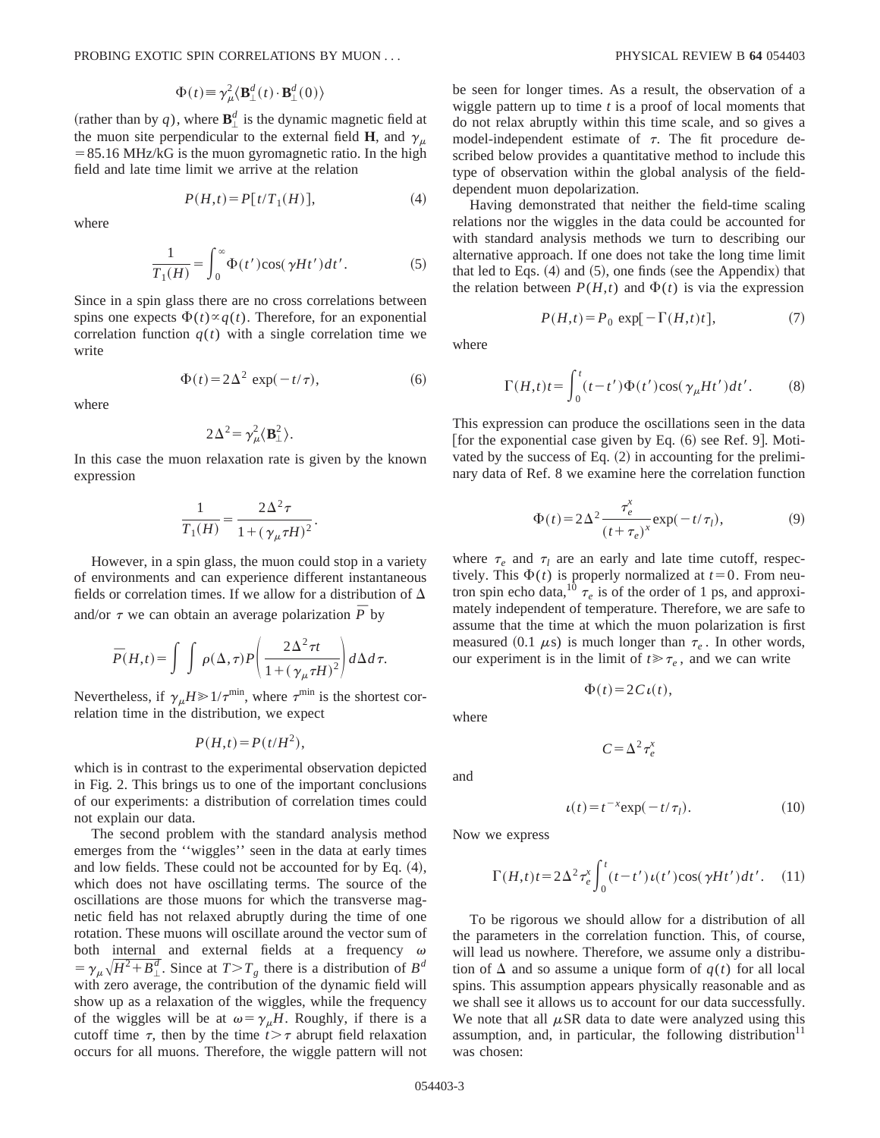$$
\Phi(t) \equiv \gamma_{\mu}^{2} \langle \mathbf{B}^{d}_{\perp}(t) \cdot \mathbf{B}^{d}_{\perp}(0) \rangle
$$

(rather than by q), where  $\mathbf{B}_{\perp}^d$  is the dynamic magnetic field at the muon site perpendicular to the external field **H**, and  $\gamma_{\mu}$  $= 85.16$  MHz/kG is the muon gyromagnetic ratio. In the high field and late time limit we arrive at the relation

$$
P(H,t) = P[t/T_1(H)],\tag{4}
$$

where

$$
\frac{1}{T_1(H)} = \int_0^\infty \Phi(t') \cos(\gamma H t') dt'.
$$
 (5)

Since in a spin glass there are no cross correlations between spins one expects  $\Phi(t) \propto q(t)$ . Therefore, for an exponential correlation function  $q(t)$  with a single correlation time we write

$$
\Phi(t) = 2\Delta^2 \exp(-t/\tau), \tag{6}
$$

where

$$
2\Delta^2 = \gamma_\mu^2 \langle \mathbf{B}^2_\perp \rangle.
$$

In this case the muon relaxation rate is given by the known expression

$$
\frac{1}{T_1(H)} = \frac{2\Delta^2 \tau}{1 + (\gamma_\mu \tau H)^2}.
$$

However, in a spin glass, the muon could stop in a variety of environments and can experience different instantaneous fields or correlation times. If we allow for a distribution of  $\Delta$ and/or  $\tau$  we can obtain an average polarization  $\bar{P}$  by

$$
\overline{P}(H,t) = \int \int \rho(\Delta,\tau) P\left(\frac{2\Delta^2 \tau t}{1 + (\gamma_\mu \tau H)^2}\right) d\Delta d\tau.
$$

Nevertheless, if  $\gamma_{\mu}H \geq 1/\tau^{\text{min}}$ , where  $\tau^{\text{min}}$  is the shortest correlation time in the distribution, we expect

$$
P(H,t) = P(t/H^2),
$$

which is in contrast to the experimental observation depicted in Fig. 2. This brings us to one of the important conclusions of our experiments: a distribution of correlation times could not explain our data.

The second problem with the standard analysis method emerges from the ''wiggles'' seen in the data at early times and low fields. These could not be accounted for by Eq.  $(4)$ , which does not have oscillating terms. The source of the oscillations are those muons for which the transverse magnetic field has not relaxed abruptly during the time of one rotation. These muons will oscillate around the vector sum of both internal and external fields at a frequency  $\omega$  $= \gamma_{\mu} \sqrt{H^2 + B_{\perp}^d}$ . Since at  $T > T_g$  there is a distribution of  $B^d$ with zero average, the contribution of the dynamic field will show up as a relaxation of the wiggles, while the frequency of the wiggles will be at  $\omega = \gamma_{\mu}H$ . Roughly, if there is a cutoff time  $\tau$ , then by the time  $t > \tau$  abrupt field relaxation occurs for all muons. Therefore, the wiggle pattern will not be seen for longer times. As a result, the observation of a wiggle pattern up to time *t* is a proof of local moments that do not relax abruptly within this time scale, and so gives a model-independent estimate of  $\tau$ . The fit procedure described below provides a quantitative method to include this type of observation within the global analysis of the fielddependent muon depolarization.

Having demonstrated that neither the field-time scaling relations nor the wiggles in the data could be accounted for with standard analysis methods we turn to describing our alternative approach. If one does not take the long time limit that led to Eqs.  $(4)$  and  $(5)$ , one finds (see the Appendix) that the relation between  $P(H,t)$  and  $\Phi(t)$  is via the expression

$$
P(H,t) = P_0 \exp[-\Gamma(H,t)t],\tag{7}
$$

where

$$
\Gamma(H,t)t = \int_0^t (t-t')\Phi(t')\cos(\gamma_\mu Ht')dt'.
$$
 (8)

This expression can produce the oscillations seen in the data [for the exponential case given by Eq.  $(6)$  see Ref. 9]. Motivated by the success of Eq.  $(2)$  in accounting for the preliminary data of Ref. 8 we examine here the correlation function

$$
\Phi(t) = 2\Delta^2 \frac{\tau_e^x}{(t + \tau_e)^x} \exp(-t/\tau_l),\tag{9}
$$

where  $\tau_e$  and  $\tau_l$  are an early and late time cutoff, respectively. This  $\Phi(t)$  is properly normalized at  $t=0$ . From neutron spin echo data,<sup>10</sup>  $\tau_e$  is of the order of 1 ps, and approximately independent of temperature. Therefore, we are safe to assume that the time at which the muon polarization is first measured (0.1  $\mu$ s) is much longer than  $\tau_e$ . In other words, our experiment is in the limit of  $t \ge \tau_e$ , and we can write

$$
\Phi(t) = 2C\iota(t),
$$

where

$$
C \!=\! \Delta^2 \tau_e^x
$$

and

$$
\iota(t) = t^{-x} \exp(-t/\tau_l). \tag{10}
$$

Now we express

$$
\Gamma(H,t)t = 2\Delta^2 \tau_e^x \int_0^t (t-t')\,\iota(t')\cos(\gamma Ht')dt'.
$$
 (11)

To be rigorous we should allow for a distribution of all the parameters in the correlation function. This, of course, will lead us nowhere. Therefore, we assume only a distribution of  $\Delta$  and so assume a unique form of  $q(t)$  for all local spins. This assumption appears physically reasonable and as we shall see it allows us to account for our data successfully. We note that all  $\mu$ SR data to date were analyzed using this assumption, and, in particular, the following distribution $11$ was chosen: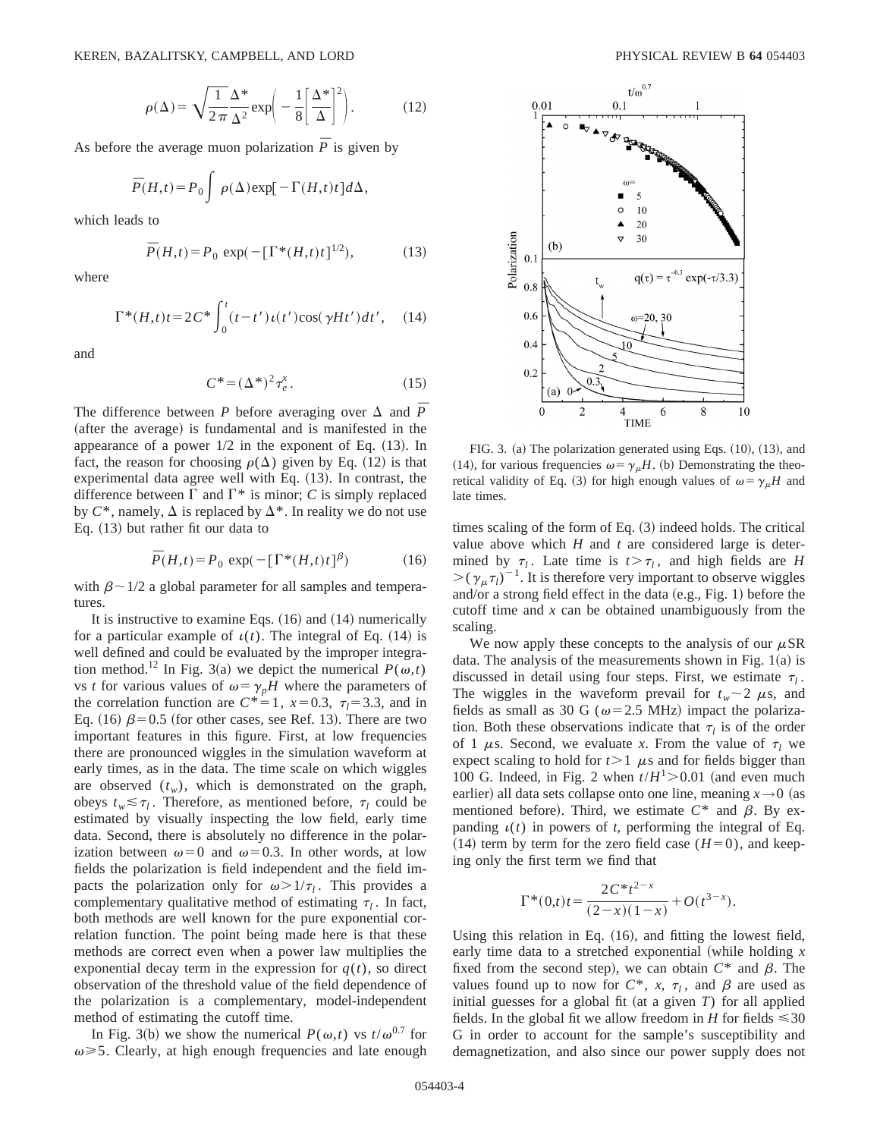$$
\rho(\Delta) = \sqrt{\frac{1}{2\pi}} \frac{\Delta^*}{\Delta^2} \exp\left(-\frac{1}{8} \left[\frac{\Delta^*}{\Delta}\right]^2\right).
$$
 (12)

As before the average muon polarization  $\bar{P}$  is given by

$$
\overline{P}(H,t) = P_0 \int \rho(\Delta) \exp[-\Gamma(H,t)t] d\Delta,
$$

which leads to

$$
\bar{P}(H,t) = P_0 \exp(-[\Gamma^*(H,t)t]^{1/2}), \tag{13}
$$

where

$$
\Gamma^*(H,t)t = 2C^* \int_0^t (t-t')\,\iota(t')\cos(\gamma Ht')\,dt',\quad(14)
$$

and

$$
C^* = (\Delta^*)^2 \tau_e^x. \tag{15}
$$

The difference between *P* before averaging over  $\triangle$  and  $\overline{P}$ (after the average) is fundamental and is manifested in the appearance of a power  $1/2$  in the exponent of Eq.  $(13)$ . In fact, the reason for choosing  $\rho(\Delta)$  given by Eq. (12) is that experimental data agree well with Eq.  $(13)$ . In contrast, the difference between  $\Gamma$  and  $\Gamma^*$  is minor; *C* is simply replaced by  $C^*$ , namely,  $\Delta$  is replaced by  $\Delta^*$ . In reality we do not use Eq.  $(13)$  but rather fit our data to

$$
\overline{P}(H,t) = P_0 \exp(-\left[\Gamma^*(H,t)t\right]^\beta) \tag{16}
$$

with  $\beta \sim 1/2$  a global parameter for all samples and temperatures.

It is instructive to examine Eqs.  $(16)$  and  $(14)$  numerically for a particular example of  $\iota(t)$ . The integral of Eq. (14) is well defined and could be evaluated by the improper integration method.<sup>12</sup> In Fig. 3(a) we depict the numerical  $P(\omega, t)$ vs *t* for various values of  $\omega = \gamma_p H$  where the parameters of the correlation function are  $C^*=1$ ,  $x=0.3$ ,  $\tau_l=3.3$ , and in Eq. (16)  $\beta$ =0.5 (for other cases, see Ref. 13). There are two important features in this figure. First, at low frequencies there are pronounced wiggles in the simulation waveform at early times, as in the data. The time scale on which wiggles are observed  $(t_w)$ , which is demonstrated on the graph, obeys  $t_w \leq \tau_l$ . Therefore, as mentioned before,  $\tau_l$  could be estimated by visually inspecting the low field, early time data. Second, there is absolutely no difference in the polarization between  $\omega=0$  and  $\omega=0.3$ . In other words, at low fields the polarization is field independent and the field impacts the polarization only for  $\omega > 1/\tau_l$ . This provides a complementary qualitative method of estimating  $\tau_l$ . In fact, both methods are well known for the pure exponential correlation function. The point being made here is that these methods are correct even when a power law multiplies the exponential decay term in the expression for  $q(t)$ , so direct observation of the threshold value of the field dependence of the polarization is a complementary, model-independent method of estimating the cutoff time.

In Fig. 3(b) we show the numerical  $P(\omega, t)$  vs  $t/\omega^{0.7}$  for  $\omega \ge 5$ . Clearly, at high enough frequencies and late enough



FIG. 3. (a) The polarization generated using Eqs.  $(10)$ ,  $(13)$ , and (14), for various frequencies  $\omega = \gamma_{\mu}H$ . (b) Demonstrating the theoretical validity of Eq. (3) for high enough values of  $\omega = \gamma_{\mu}H$  and late times.

times scaling of the form of Eq.  $(3)$  indeed holds. The critical value above which *H* and *t* are considered large is determined by  $\tau_l$ . Late time is  $t > \tau_l$ , and high fields are *H*  $\geq (\gamma_{\mu} \tau_l)^{-1}$ . It is therefore very important to observe wiggles and/or a strong field effect in the data  $(e.g., Fig. 1)$  before the cutoff time and *x* can be obtained unambiguously from the scaling.

We now apply these concepts to the analysis of our  $\mu$ SR data. The analysis of the measurements shown in Fig.  $1(a)$  is discussed in detail using four steps. First, we estimate  $\tau_l$ . The wiggles in the waveform prevail for  $t_w \sim 2 \mu s$ , and fields as small as 30 G ( $\omega$ =2.5 MHz) impact the polarization. Both these observations indicate that  $\tau_l$  is of the order of 1  $\mu$ s. Second, we evaluate *x*. From the value of  $\tau_l$  we expect scaling to hold for  $t > 1$   $\mu$ s and for fields bigger than 100 G. Indeed, in Fig. 2 when  $t/H^1 > 0.01$  (and even much earlier) all data sets collapse onto one line, meaning  $x \rightarrow 0$  (as mentioned before). Third, we estimate  $C^*$  and  $\beta$ . By expanding  $u(t)$  in powers of *t*, performing the integral of Eq.  $(14)$  term by term for the zero field case  $(H=0)$ , and keeping only the first term we find that

$$
\Gamma^*(0,t)t = \frac{2C^*t^{2-x}}{(2-x)(1-x)} + O(t^{3-x}).
$$

Using this relation in Eq.  $(16)$ , and fitting the lowest field, early time data to a stretched exponential (while holding *x* fixed from the second step), we can obtain  $C^*$  and  $\beta$ . The values found up to now for  $C^*$ , *x*,  $\tau_l$ , and  $\beta$  are used as initial guesses for a global fit (at a given  $T$ ) for all applied fields. In the global fit we allow freedom in *H* for fields  $\leq 30$ G in order to account for the sample's susceptibility and demagnetization, and also since our power supply does not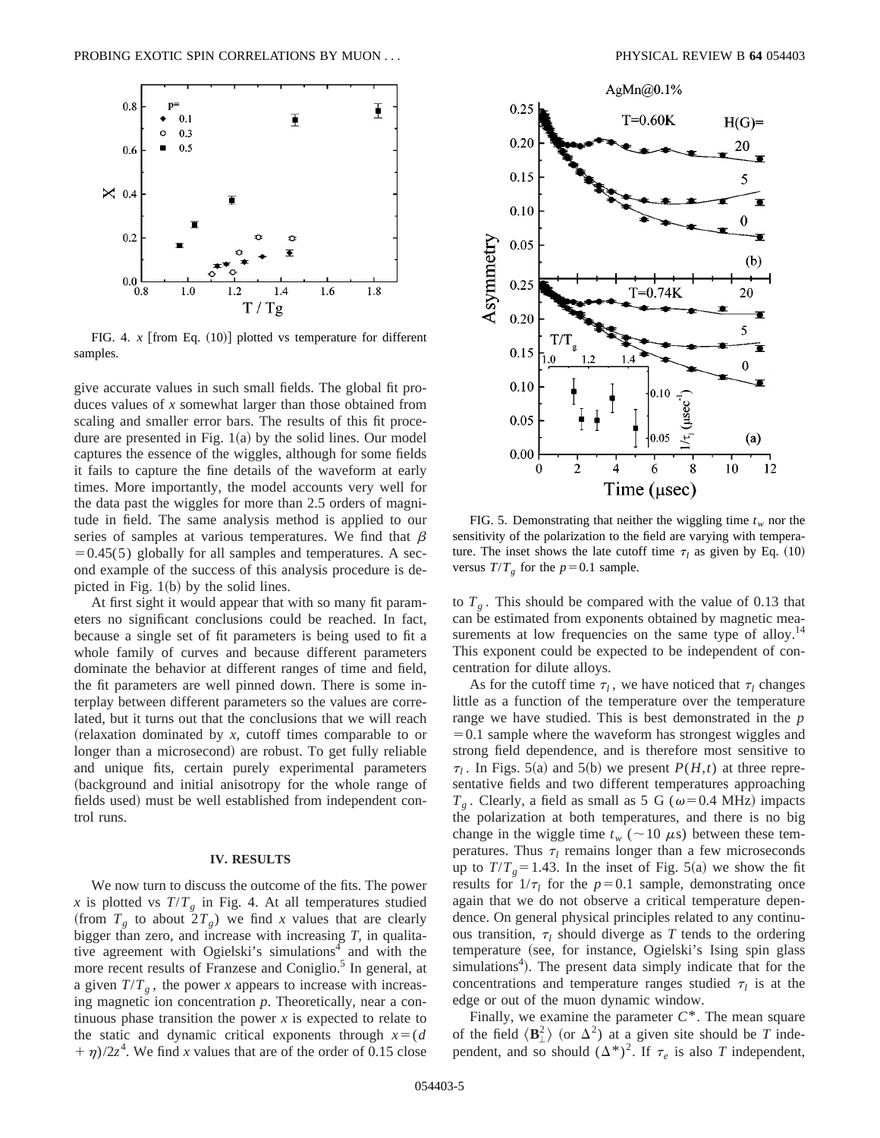

FIG. 4.  $x$  [from Eq.  $(10)$ ] plotted vs temperature for different samples.

give accurate values in such small fields. The global fit produces values of *x* somewhat larger than those obtained from scaling and smaller error bars. The results of this fit procedure are presented in Fig.  $1(a)$  by the solid lines. Our model captures the essence of the wiggles, although for some fields it fails to capture the fine details of the waveform at early times. More importantly, the model accounts very well for the data past the wiggles for more than 2.5 orders of magnitude in field. The same analysis method is applied to our series of samples at various temperatures. We find that  $\beta$  $=0.45(5)$  globally for all samples and temperatures. A second example of the success of this analysis procedure is depicted in Fig.  $1(b)$  by the solid lines.

At first sight it would appear that with so many fit parameters no significant conclusions could be reached. In fact, because a single set of fit parameters is being used to fit a whole family of curves and because different parameters dominate the behavior at different ranges of time and field, the fit parameters are well pinned down. There is some interplay between different parameters so the values are correlated, but it turns out that the conclusions that we will reach  $r$  (relaxation dominated by  $x$ , cutoff times comparable to or longer than a microsecond) are robust. To get fully reliable and unique fits, certain purely experimental parameters (background and initial anisotropy for the whole range of fields used) must be well established from independent control runs.

#### **IV. RESULTS**

We now turn to discuss the outcome of the fits. The power *x* is plotted vs  $T/T_g$  in Fig. 4. At all temperatures studied (from  $T_g$  to about  $2T_g$ ) we find x values that are clearly bigger than zero, and increase with increasing *T*, in qualitative agreement with Ogielski's simulations $4$  and with the more recent results of Franzese and Coniglio.<sup>5</sup> In general, at a given  $T/T_g$ , the power *x* appears to increase with increasing magnetic ion concentration *p*. Theoretically, near a continuous phase transition the power  $x$  is expected to relate to the static and dynamic critical exponents through  $x=(d$  $+\eta$ /2*z*<sup>4</sup>. We find *x* values that are of the order of 0.15 close



FIG. 5. Demonstrating that neither the wiggling time  $t_w$  nor the sensitivity of the polarization to the field are varying with temperature. The inset shows the late cutoff time  $\tau_l$  as given by Eq. (10) versus  $T/T_g$  for the  $p=0.1$  sample.

to  $T<sub>g</sub>$ . This should be compared with the value of 0.13 that can be estimated from exponents obtained by magnetic measurements at low frequencies on the same type of alloy.<sup>14</sup> This exponent could be expected to be independent of concentration for dilute alloys.

As for the cutoff time  $\tau_l$ , we have noticed that  $\tau_l$  changes little as a function of the temperature over the temperature range we have studied. This is best demonstrated in the *p*  $=0.1$  sample where the waveform has strongest wiggles and strong field dependence, and is therefore most sensitive to  $\tau_l$ . In Figs. 5(a) and 5(b) we present *P(H,t)* at three representative fields and two different temperatures approaching  $T<sub>g</sub>$ . Clearly, a field as small as 5 G ( $\omega$ =0.4 MHz) impacts the polarization at both temperatures, and there is no big change in the wiggle time  $t_w$  ( $\sim$ 10  $\mu$ s) between these temperatures. Thus  $\tau_l$  remains longer than a few microseconds up to  $T/T_g = 1.43$ . In the inset of Fig. 5(a) we show the fit results for  $1/\tau_l$  for the  $p=0.1$  sample, demonstrating once again that we do not observe a critical temperature dependence. On general physical principles related to any continuous transition,  $\tau_l$  should diverge as *T* tends to the ordering temperature (see, for instance, Ogielski's Ising spin glass simulations<sup>4</sup>). The present data simply indicate that for the concentrations and temperature ranges studied  $\tau_l$  is at the edge or out of the muon dynamic window.

Finally, we examine the parameter  $C^*$ . The mean square of the field  $\langle \mathbf{B}_\perp^2 \rangle$  (or  $\Delta^2$ ) at a given site should be *T* independent, and so should  $(\Delta^*)^2$ . If  $\tau_e$  is also *T* independent,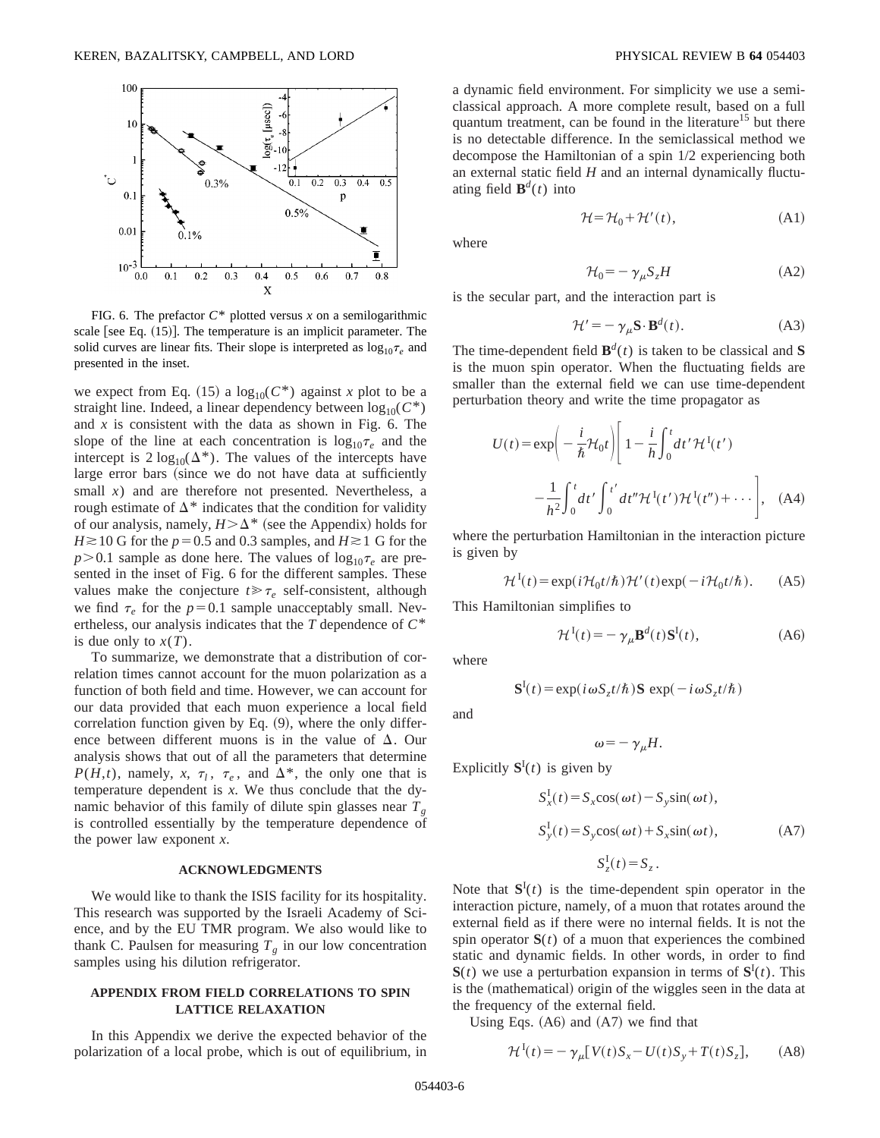

FIG. 6. The prefactor  $C^*$  plotted versus  $x$  on a semilogarithmic scale [see Eq.  $(15)$ ]. The temperature is an implicit parameter. The solid curves are linear fits. Their slope is interpreted as  $\log_{10} \tau_e$  and presented in the inset.

we expect from Eq. (15) a  $\log_{10}(C^*)$  against *x* plot to be a straight line. Indeed, a linear dependency between  $log_{10}(C^*)$ and *x* is consistent with the data as shown in Fig. 6. The slope of the line at each concentration is  $log_{10} \tau_e$  and the intercept is  $2 \log_{10}(\Delta^*)$ . The values of the intercepts have large error bars (since we do not have data at sufficiently small *x*) and are therefore not presented. Nevertheless, a rough estimate of  $\Delta^*$  indicates that the condition for validity of our analysis, namely,  $H > \Delta^*$  (see the Appendix) holds for  $H \ge 10$  G for the  $p=0.5$  and 0.3 samples, and  $H \ge 1$  G for the  $p > 0.1$  sample as done here. The values of  $log_{10} \tau_e$  are presented in the inset of Fig. 6 for the different samples. These values make the conjecture  $t \ge \tau_e$  self-consistent, although we find  $\tau_e$  for the  $p=0.1$  sample unacceptably small. Nevertheless, our analysis indicates that the *T* dependence of *C*\* is due only to  $x(T)$ .

To summarize, we demonstrate that a distribution of correlation times cannot account for the muon polarization as a function of both field and time. However, we can account for our data provided that each muon experience a local field correlation function given by Eq.  $(9)$ , where the only difference between different muons is in the value of  $\Delta$ . Our analysis shows that out of all the parameters that determine *P*(*H*,*t*), namely, *x*,  $\tau_l$ ,  $\tau_e$ , and  $\Delta^*$ , the only one that is temperature dependent is *x*. We thus conclude that the dynamic behavior of this family of dilute spin glasses near  $T_g$ is controlled essentially by the temperature dependence of the power law exponent *x*.

### **ACKNOWLEDGMENTS**

We would like to thank the ISIS facility for its hospitality. This research was supported by the Israeli Academy of Science, and by the EU TMR program. We also would like to thank C. Paulsen for measuring  $T_g$  in our low concentration samples using his dilution refrigerator.

### **APPENDIX FROM FIELD CORRELATIONS TO SPIN LATTICE RELAXATION**

In this Appendix we derive the expected behavior of the polarization of a local probe, which is out of equilibrium, in a dynamic field environment. For simplicity we use a semiclassical approach. A more complete result, based on a full quantum treatment, can be found in the literature<sup>15</sup> but there is no detectable difference. In the semiclassical method we decompose the Hamiltonian of a spin 1/2 experiencing both an external static field *H* and an internal dynamically fluctuating field  $\mathbf{B}^d(t)$  into

$$
\mathcal{H} = \mathcal{H}_0 + \mathcal{H}'(t),\tag{A1}
$$

where

$$
\mathcal{H}_0 = -\gamma_\mu S_z H \tag{A2}
$$

is the secular part, and the interaction part is

$$
\mathcal{H}' = -\gamma_{\mu} \mathbf{S} \cdot \mathbf{B}^d(t). \tag{A3}
$$

The time-dependent field  $\mathbf{B}^d(t)$  is taken to be classical and S is the muon spin operator. When the fluctuating fields are smaller than the external field we can use time-dependent perturbation theory and write the time propagator as

$$
U(t) = \exp\left(-\frac{i}{\hbar}\mathcal{H}_0 t\right) \left[1 - \frac{i}{\hbar}\int_0^t dt' \mathcal{H}^{\mathrm{I}}(t')\right]
$$

$$
-\frac{1}{\hbar^2}\int_0^t dt' \int_0^{t'} dt'' \mathcal{H}^{\mathrm{I}}(t') \mathcal{H}^{\mathrm{I}}(t'') + \cdots\right], \quad \text{(A4)}
$$

where the perturbation Hamiltonian in the interaction picture is given by

$$
\mathcal{H}^{I}(t) = \exp(i\mathcal{H}_0 t/\hbar)\mathcal{H}'(t)\exp(-i\mathcal{H}_0 t/\hbar). \tag{A5}
$$

This Hamiltonian simplifies to

$$
\mathcal{H}^{I}(t) = -\gamma_{\mu} \mathbf{B}^{d}(t) \mathbf{S}^{I}(t), \qquad (A6)
$$

where

$$
\mathbf{S}^{I}(t) = \exp(i \omega S_{z} t/\hbar) \mathbf{S} \exp(-i \omega S_{z} t/\hbar)
$$

and

$$
\omega = -\gamma_{\mu}H.
$$

Explicitly  $S^{I}(t)$  is given by

$$
S_x^I(t) = S_x \cos(\omega t) - S_y \sin(\omega t),
$$
  
\n
$$
S_y^I(t) = S_y \cos(\omega t) + S_x \sin(\omega t),
$$
\n(A7)  
\n
$$
S_z^I(t) = S_z.
$$

Note that  $S^I(t)$  is the time-dependent spin operator in the interaction picture, namely, of a muon that rotates around the external field as if there were no internal fields. It is not the spin operator  $S(t)$  of a muon that experiences the combined static and dynamic fields. In other words, in order to find  $S(t)$  we use a perturbation expansion in terms of  $S<sup>I</sup>(t)$ . This is the (mathematical) origin of the wiggles seen in the data at the frequency of the external field.

Using Eqs.  $(A6)$  and  $(A7)$  we find that

$$
\mathcal{H}^{I}(t) = -\gamma_{\mu} [V(t)S_{x} - U(t)S_{y} + T(t)S_{z}], \quad (A8)
$$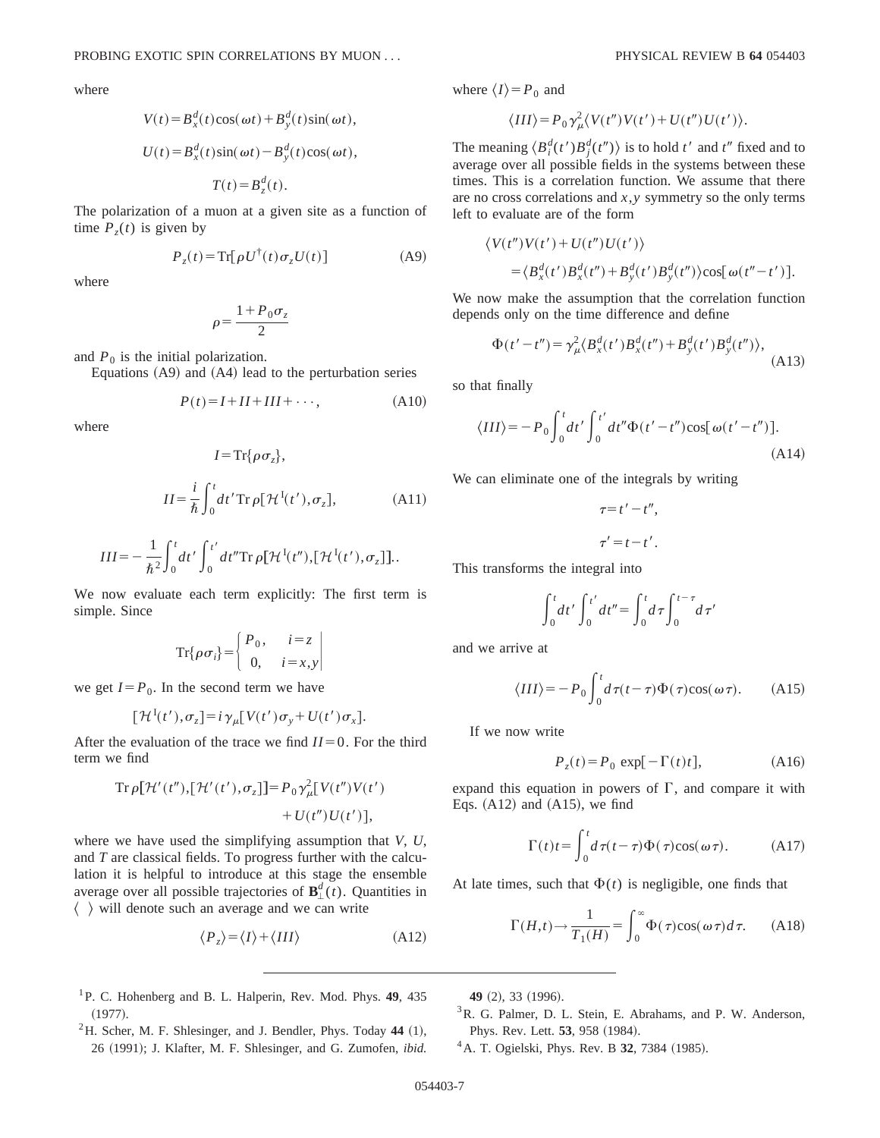where

$$
V(t) = B_x^d(t)\cos(\omega t) + B_y^d(t)\sin(\omega t),
$$
  

$$
U(t) = B_x^d(t)\sin(\omega t) - B_y^d(t)\cos(\omega t),
$$
  

$$
T(t) = B_z^d(t).
$$

The polarization of a muon at a given site as a function of time  $P_{z}(t)$  is given by

$$
P_z(t) = \operatorname{Tr}[\rho U^{\dagger}(t)\sigma_z U(t)] \tag{A9}
$$

where

$$
\rho\!=\!\frac{1+P_0\sigma_z}{2}
$$

and  $P_0$  is the initial polarization.

Equations  $(A9)$  and  $(A4)$  lead to the perturbation series

$$
P(t) = I + II + III + \cdots,\tag{A10}
$$

where

$$
I = \text{Tr}\{\rho \sigma_z\},
$$
  

$$
II = \frac{i}{\hbar} \int_0^t dt' \text{Tr} \rho[\mathcal{H}^{\text{I}}(t'), \sigma_z],
$$
 (A11)

$$
III = -\frac{1}{\hbar^2} \int_0^t dt' \int_0^{t'} dt'' \text{Tr} \rho \big[ \mathcal{H}^{I}(t''), [\mathcal{H}^{I}(t'), \sigma_z] \big].
$$

We now evaluate each term explicitly: The first term is simple. Since

$$
\operatorname{Tr}\{\rho \sigma_i\} = \begin{cases} P_0, & i = z \\ 0, & i = x, y \end{cases}
$$

we get  $I = P_0$ . In the second term we have

$$
[\mathcal{H}^{I}(t'), \sigma_z] = i \gamma_{\mu} [V(t') \sigma_y + U(t') \sigma_x].
$$

After the evaluation of the trace we find  $II=0$ . For the third term we find

$$
\begin{aligned} \operatorname{Tr}\rho[\mathcal{H}'(t''),[\mathcal{H}'(t'),\sigma_z]] &= P_0 \gamma_{\mu}^2[V(t'')V(t')] \\ &+ U(t'')U(t')], \end{aligned}
$$

where we have used the simplifying assumption that *V*, *U*, and *T* are classical fields. To progress further with the calculation it is helpful to introduce at this stage the ensemble average over all possible trajectories of  $\mathbf{B}_{\perp}^{d}(t)$ . Quantities in  $\langle \rangle$  will denote such an average and we can write

$$
\langle P_z \rangle = \langle I \rangle + \langle III \rangle \tag{A12}
$$

- 1P. C. Hohenberg and B. L. Halperin, Rev. Mod. Phys. **49**, 435  $(1977).$
- ${}^{2}$ H. Scher, M. F. Shlesinger, and J. Bendler, Phys. Today 44  $(1)$ , 26 (1991); J. Klafter, M. F. Shlesinger, and G. Zumofen, *ibid.*

where  $\langle I \rangle = P_0$  and

$$
\langle III \rangle = P_0 \gamma_\mu^2 \langle V(t'') V(t') + U(t'') U(t') \rangle.
$$

The meaning  $\langle B_i^d(t')B_j^d(t'')\rangle$  is to hold *t'* and *t''* fixed and to average over all possible fields in the systems between these times. This is a correlation function. We assume that there are no cross correlations and *x*,*y* symmetry so the only terms left to evaluate are of the form

$$
\langle V(t'')V(t') + U(t'')U(t')\rangle
$$
  
=  $\langle B_x^d(t')B_x^d(t'') + B_y^d(t')B_y^d(t'')\rangle \cos[\omega(t'' - t')].$ 

We now make the assumption that the correlation function depends only on the time difference and define

$$
\Phi(t'-t'') = \gamma_{\mu}^{2} \langle B_{x}^{d}(t')B_{x}^{d}(t'') + B_{y}^{d}(t')B_{y}^{d}(t'')\rangle, \tag{A13}
$$

so that finally

$$
\langle III \rangle = -P_0 \int_0^t dt' \int_0^{t'} dt'' \Phi(t'-t'') \cos[\omega(t'-t'')].
$$
\n(A14)

We can eliminate one of the integrals by writing

 $\tau=t'-t''$ .

$$
\tau'=t-t'.
$$

This transforms the integral into

$$
\int_0^t dt' \int_0^{t'} dt'' = \int_0^t d\tau \int_0^{t-\tau} d\tau'
$$

and we arrive at

$$
\langle III \rangle = -P_0 \int_0^t d\tau (t-\tau) \Phi(\tau) \cos(\omega \tau). \tag{A15}
$$

If we now write

$$
P_z(t) = P_0 \exp[-\Gamma(t)t], \tag{A16}
$$

expand this equation in powers of  $\Gamma$ , and compare it with Eqs.  $(A12)$  and  $(A15)$ , we find

$$
\Gamma(t)t = \int_0^t d\tau(t-\tau)\Phi(\tau)\cos(\omega\tau). \tag{A17}
$$

At late times, such that  $\Phi(t)$  is negligible, one finds that

$$
\Gamma(H,t) \to \frac{1}{T_1(H)} = \int_0^\infty \Phi(\tau) \cos(\omega \tau) d\tau.
$$
 (A18)

**49** (2), 33 (1996).

- <sup>3</sup>R. G. Palmer, D. L. Stein, E. Abrahams, and P. W. Anderson, Phys. Rev. Lett. **53**, 958 (1984).
- <sup>4</sup> A. T. Ogielski, Phys. Rev. B **32**, 7384 (1985).